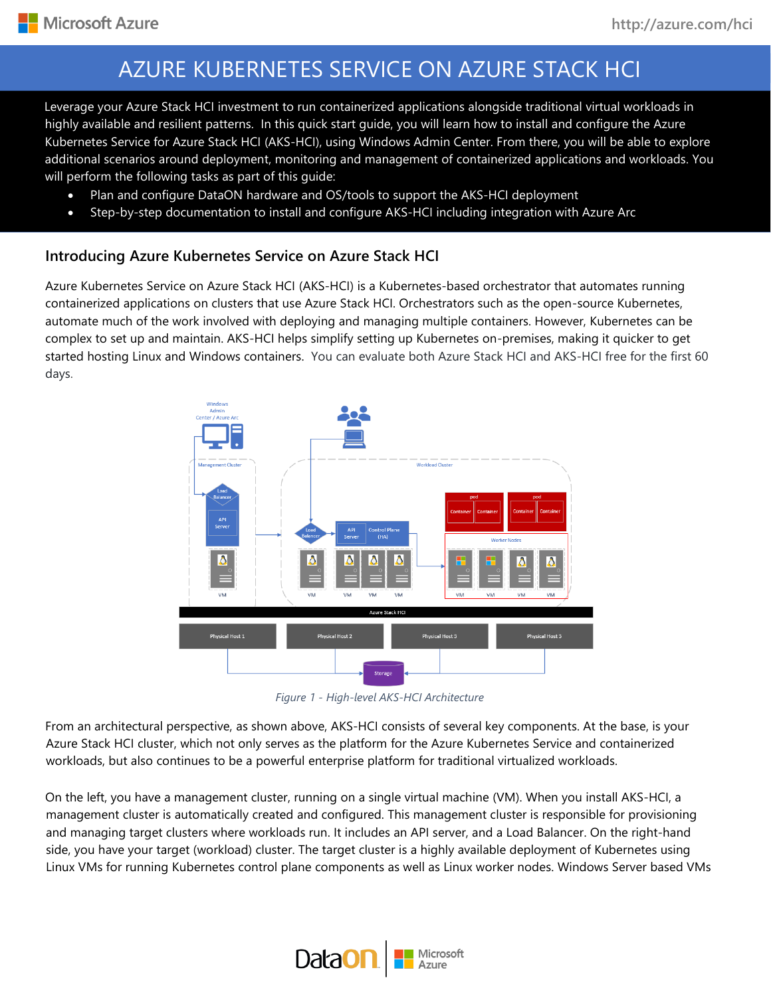su highly available and resilient patterns. In this quick start guide, you will learn how to install and configure the Azure Leverage your Azure Stack HCI investment to run containerized applications alongside traditional virtual workloads in Kubernetes Service for Azure Stack HCI (AKS-HCI), using Windows Admin Center. From there, you will be able to explore additional scenarios around deployment, monitoring and management of containerized applications and workloads. You will perform the following tasks as part of this guide:

- Plan and configure DataON hardware and OS/tools to support the AKS-HCI deployment
- Step-by-step documentation to install and configure AKS-HCI including integration with Azure Arc

## **Introducing Azure Kubernetes Service on Azure Stack HCI**

Azure Kubernetes Service on Azure Stack HCI (AKS-HCI) is a Kubernetes-based orchestrator that automates running containerized applications on clusters that use Azure Stack HCI. Orchestrators such as the open-source Kubernetes, automate much of the work involved with deploying and managing multiple containers. However, Kubernetes can be complex to set up and maintain. AKS-HCI helps simplify setting up Kubernetes on-premises, making it quicker to get started hosting Linux and Windows containers. You can evaluate both Azure Stack HCI and AKS-HCI free for the first 60 days.



*Figure 1 - High-level AKS-HCI Architecture*

From an architectural perspective, as shown above, AKS-HCI consists of several key components. At the base, is your Azure Stack HCI cluster, which not only serves as the platform for the Azure Kubernetes Service and containerized workloads, but also continues to be a powerful enterprise platform for traditional virtualized workloads.

On the left, you have a management cluster, running on a single virtual machine (VM). When you install AKS-HCI, a management cluster is automatically created and configured. This management cluster is responsible for provisioning and managing target clusters where workloads run. It includes an API server, and a Load Balancer. On the right-hand side, you have your target (workload) cluster. The target cluster is a highly available deployment of Kubernetes using Linux VMs for running Kubernetes control plane components as well as Linux worker nodes. Windows Server based VMs

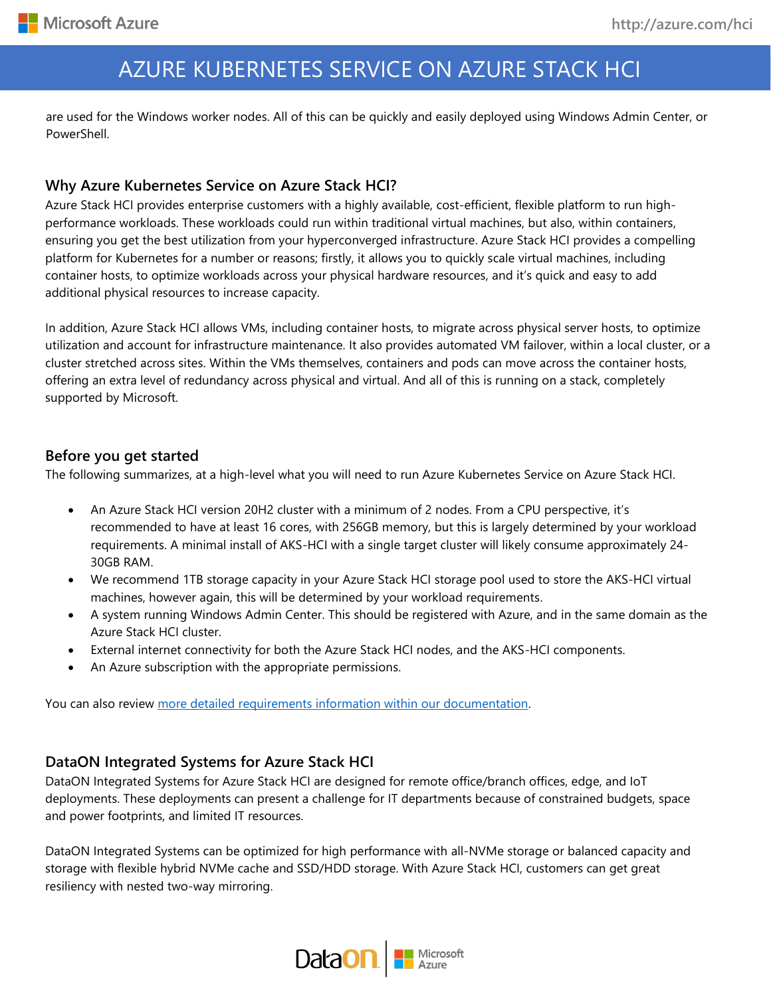are used for the Windows worker nodes. All of this can be quickly and easily deployed using Windows Admin Center, or PowerShell.

# **Why Azure Kubernetes Service on Azure Stack HCI?**

Azure Stack HCI provides enterprise customers with a highly available, cost-efficient, flexible platform to run highperformance workloads. These workloads could run within traditional virtual machines, but also, within containers, ensuring you get the best utilization from your hyperconverged infrastructure. Azure Stack HCI provides a compelling platform for Kubernetes for a number or reasons; firstly, it allows you to quickly scale virtual machines, including container hosts, to optimize workloads across your physical hardware resources, and it's quick and easy to add additional physical resources to increase capacity.

In addition, Azure Stack HCI allows VMs, including container hosts, to migrate across physical server hosts, to optimize utilization and account for infrastructure maintenance. It also provides automated VM failover, within a local cluster, or a cluster stretched across sites. Within the VMs themselves, containers and pods can move across the container hosts, offering an extra level of redundancy across physical and virtual. And all of this is running on a stack, completely supported by Microsoft.

## **Before you get started**

The following summarizes, at a high-level what you will need to run Azure Kubernetes Service on Azure Stack HCI.

- An Azure Stack HCI version 20H2 cluster with a minimum of 2 nodes. From a CPU perspective, it's recommended to have at least 16 cores, with 256GB memory, but this is largely determined by your workload requirements. A minimal install of AKS-HCI with a single target cluster will likely consume approximately 24- 30GB RAM.
- We recommend 1TB storage capacity in your Azure Stack HCI storage pool used to store the AKS-HCI virtual machines, however again, this will be determined by your workload requirements.
- A system running Windows Admin Center. This should be registered with Azure, and in the same domain as the Azure Stack HCI cluster.
- External internet connectivity for both the Azure Stack HCI nodes, and the AKS-HCI components.
- An Azure subscription with the appropriate permissions.

You can also review [more detailed requirements information within our documentation.](https://docs.microsoft.com/en-us/azure-stack/aks-hci/system-requirements)

## **DataON Integrated Systems for Azure Stack HCI**

DataON Integrated Systems for Azure Stack HCI are designed for remote office/branch offices, edge, and IoT deployments. These deployments can present a challenge for IT departments because of constrained budgets, space and power footprints, and limited IT resources.

DataON Integrated Systems can be optimized for high performance with all-NVMe storage or balanced capacity and storage with flexible hybrid NVMe cache and SSD/HDD storage. With Azure Stack HCI, customers can get great resiliency with nested two-way mirroring.

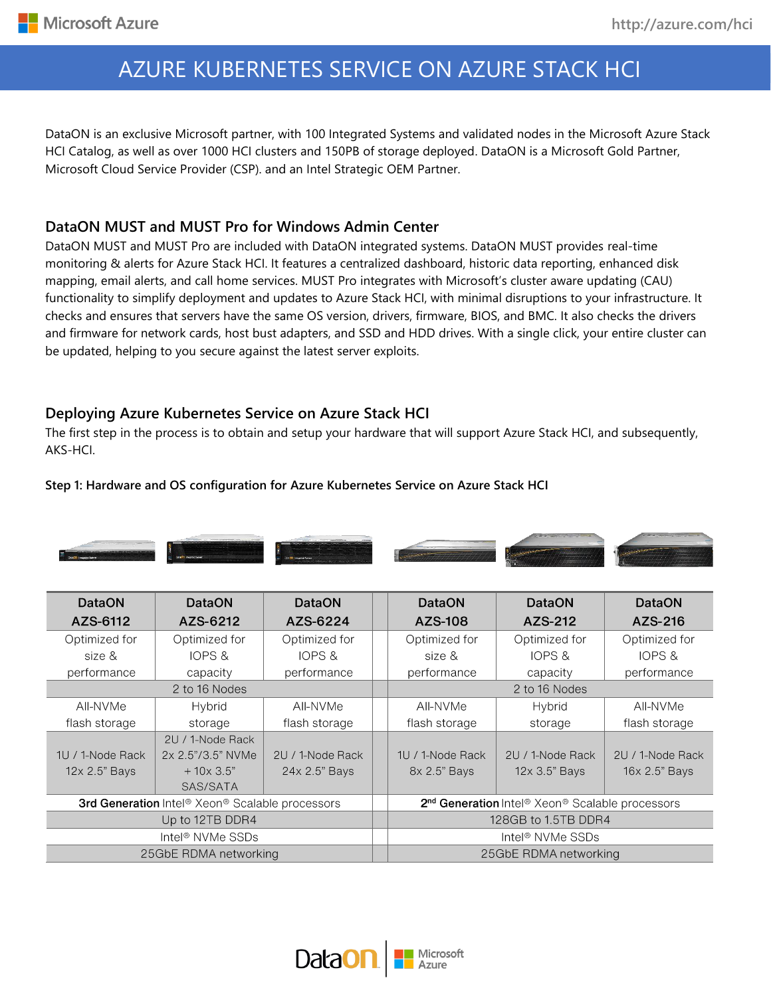DataON is an exclusive Microsoft partner, with 100 Integrated Systems and validated nodes in the Microsoft Azure Stack HCI Catalog, as well as over 1000 HCI clusters and 150PB of storage deployed. DataON is a Microsoft Gold Partner, Microsoft Cloud Service Provider (CSP). and an Intel Strategic OEM Partner.

# **DataON MUST and MUST Pro for Windows Admin Center**

DataON MUST and MUST Pro are included with DataON integrated systems. DataON MUST provides real-time monitoring & alerts for Azure Stack HCI. It features a centralized dashboard, historic data reporting, enhanced disk mapping, email alerts, and call home services. MUST Pro integrates with Microsoft's cluster aware updating (CAU) functionality to simplify deployment and updates to Azure Stack HCI, with minimal disruptions to your infrastructure. It checks and ensures that servers have the same OS version, drivers, firmware, BIOS, and BMC. It also checks the drivers and firmware for network cards, host bust adapters, and SSD and HDD drives. With a single click, your entire cluster can be updated, helping to you secure against the latest server exploits.

# **Deploying Azure Kubernetes Service on Azure Stack HCI**

The first step in the process is to obtain and setup your hardware that will support Azure Stack HCI, and subsequently, AKS-HCI.

### **Step 1: Hardware and OS configuration for Azure Kubernetes Service on Azure Stack HCI**



| <b>DataON</b>                                                                  | <b>DataON</b>     | <b>DataON</b>                                                                       | <b>DataON</b>                | <b>DataON</b>    | <b>DataON</b>    |  |
|--------------------------------------------------------------------------------|-------------------|-------------------------------------------------------------------------------------|------------------------------|------------------|------------------|--|
| AZS-6112                                                                       | AZS-6212          | AZS-6224                                                                            | AZS-108                      | AZS-212          | AZS-216          |  |
| Optimized for                                                                  | Optimized for     | Optimized for                                                                       | Optimized for                | Optimized for    | Optimized for    |  |
| size &                                                                         | IOPS &            | IOPS &                                                                              | size &                       | IOPS &           | IOPS &           |  |
| performance                                                                    | capacity          | performance                                                                         | performance                  | capacity         | performance      |  |
| 2 to 16 Nodes                                                                  |                   |                                                                                     | 2 to 16 Nodes                |                  |                  |  |
| All-NVMe                                                                       | Hybrid            | AII-NVMe                                                                            | All-NVMe                     | Hybrid           | AII-NVMe         |  |
| flash storage                                                                  | storage           | flash storage                                                                       | flash storage                | storage          | flash storage    |  |
|                                                                                | 2U / 1-Node Rack  |                                                                                     |                              |                  |                  |  |
| 1U / 1-Node Rack                                                               | 2x 2.5"/3.5" NVMe | 2U / 1-Node Rack                                                                    | $1U/1$ -Node Rack            | 2U / 1-Node Rack | 2U / 1-Node Rack |  |
| 12x 2.5" Bays                                                                  | $+10\times3.5"$   | 24x 2.5" Bays                                                                       | 8x 2.5" Bays                 | 12x 3.5" Bays    | 16x 2.5" Bays    |  |
|                                                                                | SAS/SATA          |                                                                                     |                              |                  |                  |  |
| <b>3rd Generation</b> Intel <sup>®</sup> Xeon <sup>®</sup> Scalable processors |                   | 2 <sup>nd</sup> Generation Intel <sup>®</sup> Xeon <sup>®</sup> Scalable processors |                              |                  |                  |  |
| Up to 12TB DDR4                                                                |                   |                                                                                     | 128GB to 1.5TB DDR4          |                  |                  |  |
| Intel <sup>®</sup> NVMe SSDs                                                   |                   |                                                                                     | Intel <sup>®</sup> NVMe SSDs |                  |                  |  |
| 25GbE RDMA networking                                                          |                   |                                                                                     | 25GbE RDMA networking        |                  |                  |  |

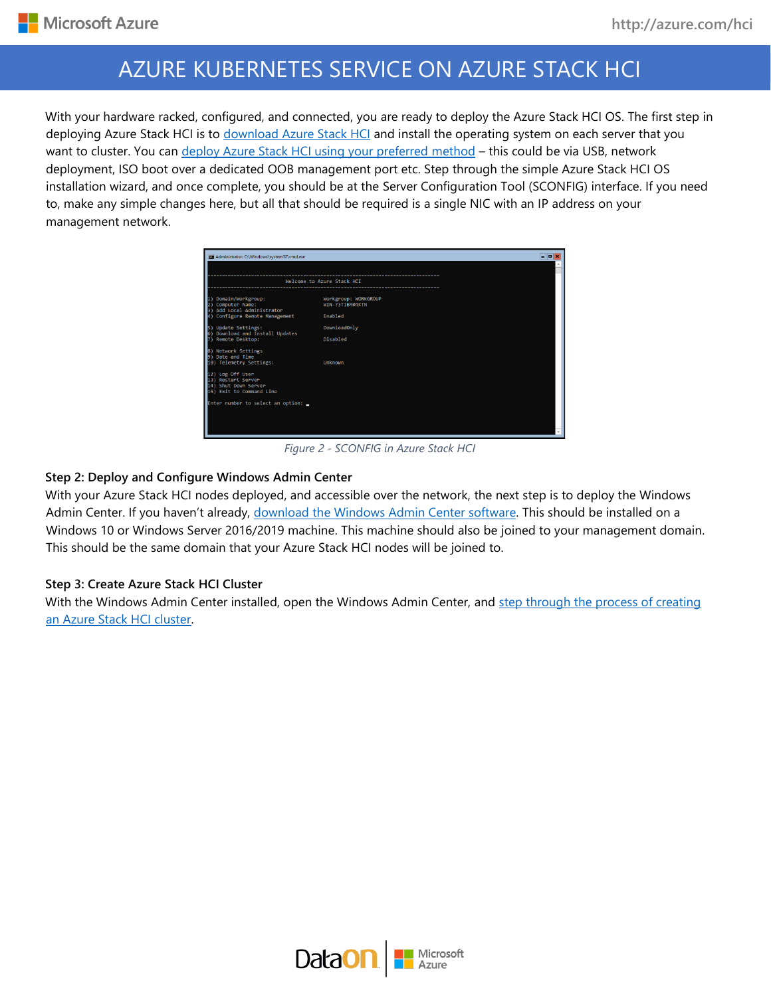With your hardware racked, configured, and connected, you are ready to deploy the Azure Stack HCI OS. The first step in deploying Azure Stack HCI is to [download Azure Stack HCI](https://azure.microsoft.com/en-us/products/azure-stack/hci/hci-download/) and install the operating system on each server that you want to cluster. You can [deploy Azure Stack HCI using your preferred method](https://docs.microsoft.com/en-us/azure-stack/hci/deploy/operating-system) - this could be via USB, network deployment, ISO boot over a dedicated OOB management port etc. Step through the simple Azure Stack HCI OS installation wizard, and once complete, you should be at the Server Configuration Tool (SCONFIG) interface. If you need to, make any simple changes here, but all that should be required is a single NIC with an IP address on your management network.

|                                                                                            | Welcome to Azure Stack HCT              |  |
|--------------------------------------------------------------------------------------------|-----------------------------------------|--|
| Domain/Workgroup:<br>Computer Name:<br>Add Local Administrator                             | Workgroup: WORKGROUP<br>WIN-73TIBM04KTN |  |
| Configure Remote Management                                                                | Enabled                                 |  |
| 5) Update Settings:<br>Download and Install Updates                                        | DownloadOnly                            |  |
| Remote Desktop:                                                                            | Disabled                                |  |
| 8) Network Settings<br>9) Date and Time                                                    |                                         |  |
| 10) Telemetry Settings:                                                                    | Unknown                                 |  |
| 12) Log Off User<br>13) Restart Server<br>14) Shut Down Server<br>15) Exit to Command Line |                                         |  |
| Enter number to select an option:                                                          |                                         |  |

*Figure 2 - SCONFIG in Azure Stack HCI*

#### **Step 2: Deploy and Configure Windows Admin Center**

With your Azure Stack HCI nodes deployed, and accessible over the network, the next step is to deploy the Windows Admin Center. If you haven't already, [download the Windows Admin Center software.](https://aka.ms/windowsadmincenter) This should be installed on a Windows 10 or Windows Server 2016/2019 machine. This machine should also be joined to your management domain. This should be the same domain that your Azure Stack HCI nodes will be joined to.

#### **Step 3: Create Azure Stack HCI Cluster**

With the Windows Admin Center installed, open the Windows Admin Center, and step through the process of creating [an Azure Stack HCI cluster.](https://docs.microsoft.com/en-us/azure-stack/hci/deploy/create-cluster)

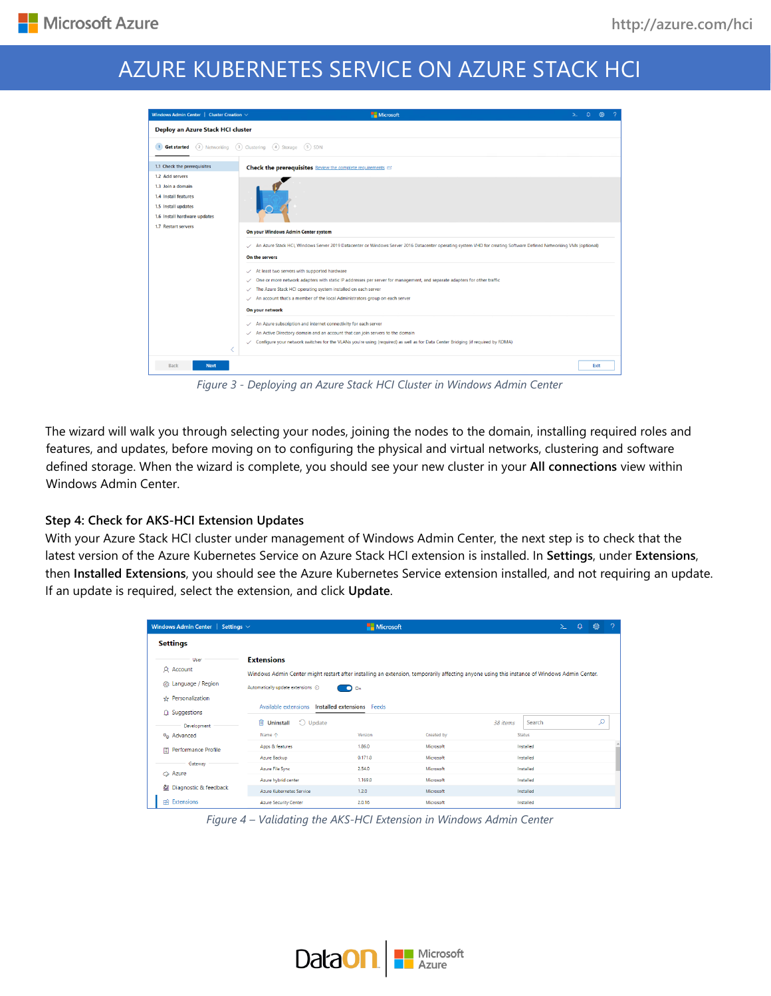| Windows Admin Center   Cluster Creation $\vee$                                                                      | Microsoft<br>$\Omega$<br>≻                                                                                                                                                                                                                                                                                                                                                                       |  |  |  |  |  |  |
|---------------------------------------------------------------------------------------------------------------------|--------------------------------------------------------------------------------------------------------------------------------------------------------------------------------------------------------------------------------------------------------------------------------------------------------------------------------------------------------------------------------------------------|--|--|--|--|--|--|
| Deploy an Azure Stack HCI cluster                                                                                   |                                                                                                                                                                                                                                                                                                                                                                                                  |  |  |  |  |  |  |
| 1 <b>Get started</b> (2) Networking (3) Clustering (4) Storage (5) SDN                                              |                                                                                                                                                                                                                                                                                                                                                                                                  |  |  |  |  |  |  |
| 1.1 Check the prerequisites                                                                                         | Check the prerequisites Review the complete requirements co                                                                                                                                                                                                                                                                                                                                      |  |  |  |  |  |  |
| 1.2 Add servers<br>1.3 Join a domain<br>1.4 Install features<br>1.5 Install updates<br>1.6 Install hardware updates |                                                                                                                                                                                                                                                                                                                                                                                                  |  |  |  |  |  |  |
| 1.7 Restart servers                                                                                                 | On your Windows Admin Center system<br>An Azure Stack HCI, Windows Server 2019 Datacenter or Windows Server 2016 Datacenter operating system VHD for creating Software Defined Networking VMs (optional)<br>On the servers                                                                                                                                                                       |  |  |  |  |  |  |
|                                                                                                                     | At least two servers with supported hardware<br>$\checkmark$<br>One or more network adapters with static IP addresses per server for management, and separate adapters for other traffic<br>$\checkmark$<br>The Azure Stack HCI operating system installed on each server<br>✓<br>An account that's a member of the local Administrators group on each server<br>$\checkmark$<br>On your network |  |  |  |  |  |  |
|                                                                                                                     | An Azure subscription and internet connectivity for each server<br>$\checkmark$<br>An Active Directory domain and an account that can join servers to the domain<br>$\checkmark$<br>Configure your network switches for the VLANs you're using (required) as well as for Data Center Bridging (if required by RDMA)<br>✓                                                                         |  |  |  |  |  |  |
| Back<br><b>Next</b>                                                                                                 | Exit                                                                                                                                                                                                                                                                                                                                                                                             |  |  |  |  |  |  |

*Figure 3 - Deploying an Azure Stack HCI Cluster in Windows Admin Center*

The wizard will walk you through selecting your nodes, joining the nodes to the domain, installing required roles and features, and updates, before moving on to configuring the physical and virtual networks, clustering and software defined storage. When the wizard is complete, you should see your new cluster in your **All connections** view within Windows Admin Center.

## **Step 4: Check for AKS-HCI Extension Updates**

With your Azure Stack HCI cluster under management of Windows Admin Center, the next step is to check that the latest version of the Azure Kubernetes Service on Azure Stack HCI extension is installed. In **Settings**, under **Extensions**, then **Installed Extensions**, you should see the Azure Kubernetes Service extension installed, and not requiring an update. If an update is required, select the extension, and click **Update**.

| Windows Admin Center   Settings $\vee$                        |                                                                                                                                                                                                                                 | Microsoft                                  |            |                    | $>$ $-$ | $\Omega$ | ෯ | - 2 |
|---------------------------------------------------------------|---------------------------------------------------------------------------------------------------------------------------------------------------------------------------------------------------------------------------------|--------------------------------------------|------------|--------------------|---------|----------|---|-----|
| <b>Settings</b>                                               |                                                                                                                                                                                                                                 |                                            |            |                    |         |          |   |     |
| User<br>Q Account<br>& Language / Region<br>☆ Personalization | <b>Extensions</b><br>Windows Admin Center might restart after installing an extension, temporarily affecting anyone using this instance of Windows Admin Center.<br>Automatically update extensions (i)<br>Available extensions | $\bullet$ On<br>Installed extensions Feeds |            |                    |         |          |   |     |
| Q Suggestions<br>Development                                  | $\bigcirc$ Update<br><b>III</b> Uninstall                                                                                                                                                                                       |                                            |            | Search<br>38 items |         |          | ρ |     |
| <sup>o</sup> n Advanced                                       | Name 个                                                                                                                                                                                                                          | Version                                    | Created by | <b>Status</b>      |         |          |   |     |
| <b>Performance Profile</b><br>圕                               | Apps & features                                                                                                                                                                                                                 | 1.86.0                                     | Microsoft  | Installed          |         |          |   |     |
| Gateway                                                       | Azure Backup                                                                                                                                                                                                                    | 0.171.0                                    | Microsoft  | Installed          |         |          |   |     |
| $\bullet$ Azure                                               | Azure File Sync                                                                                                                                                                                                                 | 2.54.0                                     | Microsoft  | Installed          |         |          |   |     |
|                                                               | Azure hybrid center                                                                                                                                                                                                             | 1.169.0                                    | Microsoft  | Installed          |         |          |   |     |
| 編 Diagnostic & feedback                                       | Azure Kubernetes Service                                                                                                                                                                                                        | 1.2.0                                      | Microsoft  | Installed          |         |          |   |     |
| <b>Extensions</b>                                             | <b>Azure Security Center</b>                                                                                                                                                                                                    | 2.0.16                                     | Microsoft  | Installed          |         |          |   |     |

*Figure 4 – Validating the AKS-HCI Extension in Windows Admin Center*

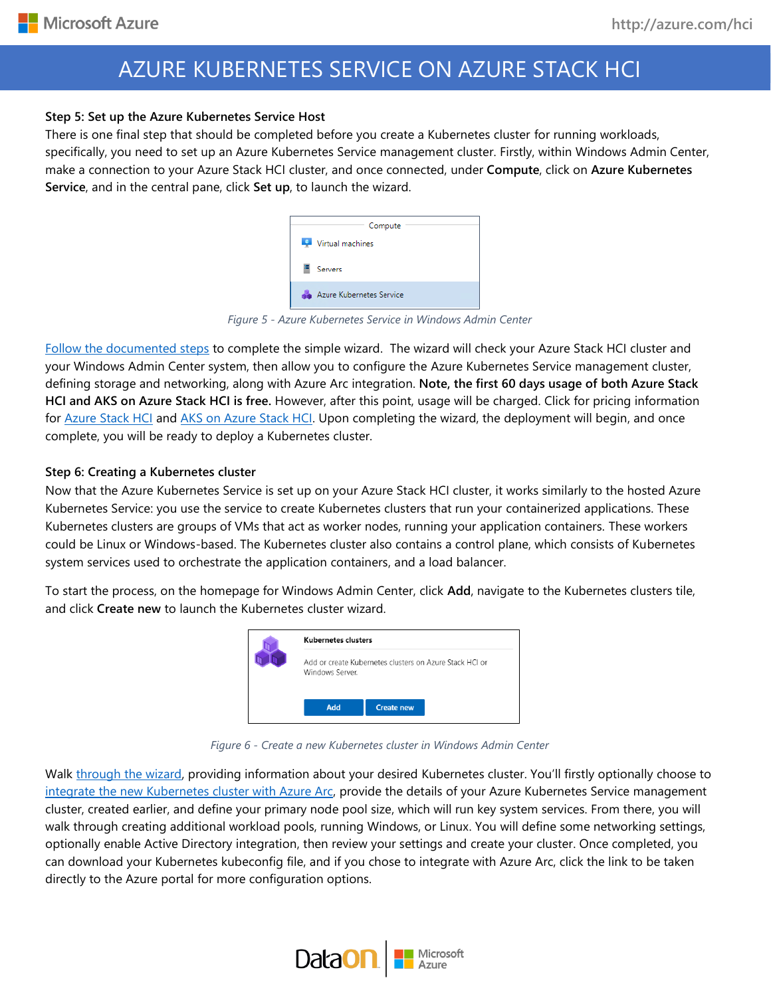#### **Step 5: Set up the Azure Kubernetes Service Host**

There is one final step that should be completed before you create a Kubernetes cluster for running workloads, specifically, you need to set up an Azure Kubernetes Service management cluster. Firstly, within Windows Admin Center, make a connection to your Azure Stack HCI cluster, and once connected, under **Compute**, click on **Azure Kubernetes Service**, and in the central pane, click **Set up**, to launch the wizard.

|       | Compute                  |
|-------|--------------------------|
|       | Virtual machines         |
|       | Servers                  |
| a Sir | Azure Kubernetes Service |

*Figure 5 - Azure Kubernetes Service in Windows Admin Center*

[Follow the documented steps](https://docs.microsoft.com/en-us/azure-stack/aks-hci/setup#setting-up-an-azure-kubernetes-service-host) to complete the simple wizard. The wizard will check your Azure Stack HCI cluster and your Windows Admin Center system, then allow you to configure the Azure Kubernetes Service management cluster, defining storage and networking, along with Azure Arc integration. **Note, the first 60 days usage of both Azure Stack HCI and AKS on Azure Stack HCI is free.** However, after this point, usage will be charged. Click for pricing information for Azure [Stack HCI](https://azure.microsoft.com/en-us/pricing/details/azure-stack/hci/) and [AKS on Azure Stack HCI.](https://docs.microsoft.com/en-us/azure-stack/aks-hci/pricing) Upon completing the wizard, the deployment will begin, and once complete, you will be ready to deploy a Kubernetes cluster.

#### **Step 6: Creating a Kubernetes cluster**

Now that the Azure Kubernetes Service is set up on your Azure Stack HCI cluster, it works similarly to the hosted Azure Kubernetes Service: you use the service to create Kubernetes clusters that run your containerized applications. These Kubernetes clusters are groups of VMs that act as worker nodes, running your application containers. These workers could be Linux or Windows-based. The Kubernetes cluster also contains a control plane, which consists of Kubernetes system services used to orchestrate the application containers, and a load balancer.

To start the process, on the homepage for Windows Admin Center, click **Add**, navigate to the Kubernetes clusters tile, and click **Create new** to launch the Kubernetes cluster wizard.



*Figure 6 - Create a new Kubernetes cluster in Windows Admin Center*

Walk [through the wizard,](https://docs.microsoft.com/en-us/azure-stack/aks-hci/create-kubernetes-cluster) providing information about your desired Kubernetes cluster. You'll firstly optionally choose to [integrate the new Kubernetes](https://docs.microsoft.com/en-us/azure/azure-arc/kubernetes/overview) cluster with Azure Arc, provide the details of your Azure Kubernetes Service management cluster, created earlier, and define your primary node pool size, which will run key system services. From there, you will walk through creating additional workload pools, running Windows, or Linux. You will define some networking settings, optionally enable Active Directory integration, then review your settings and create your cluster. Once completed, you can download your Kubernetes kubeconfig file, and if you chose to integrate with Azure Arc, click the link to be taken directly to the Azure portal for more configuration options.